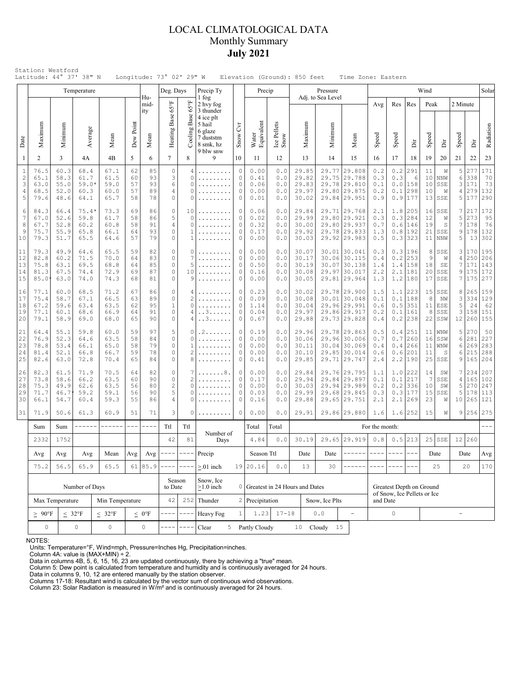## LOCAL CLIMATOLOGICAL DATA Monthly Summary **July 2021**

|                                           |                                                                                                                |                                                                                          | Temperature                             |                                      |                            |                            | Deg. Days                        |                                                 | Precip Ty<br>1 fog                                                                              |                                                          | Precip                               |                                 |                                                                                      | Pressure                       |                                                                              |                                                         |                                 |                                           | Wind                        |                                               |                        |                                 | Solar                              |
|-------------------------------------------|----------------------------------------------------------------------------------------------------------------|------------------------------------------------------------------------------------------|-----------------------------------------|--------------------------------------|----------------------------|----------------------------|----------------------------------|-------------------------------------------------|-------------------------------------------------------------------------------------------------|----------------------------------------------------------|--------------------------------------|---------------------------------|--------------------------------------------------------------------------------------|--------------------------------|------------------------------------------------------------------------------|---------------------------------------------------------|---------------------------------|-------------------------------------------|-----------------------------|-----------------------------------------------|------------------------|---------------------------------|------------------------------------|
| Date                                      | Maximum                                                                                                        | Minimum                                                                                  | Average                                 | Mean                                 | Dew Point                  | Hu-<br>mid-<br>ity<br>Mean | Heating Base 65°F                | $65^{\circ}$ F<br>Base<br>Cooling               | 2 hvy fog<br>3 thunder<br>4 ice plt<br>5 hail<br>6 glaze<br>7 duststm<br>8 smk, hz<br>9 blw snw |                                                          | Water<br>Equivalent                  | Ice Pellets<br>Snow             | Maximum                                                                              | Adj. to Sea Level<br>Minimum   | Mean                                                                         | Avg<br>Speed                                            | Res<br>Speed                    | Res<br>ă                                  | Peak<br>Speed               | ă                                             | 2 Minute<br>Speed      | İ                               | Radiation                          |
| 1                                         | $\overline{2}$                                                                                                 | 3                                                                                        | 4A                                      | 4B                                   | 5                          | 6                          | $\overline{7}$                   | 8                                               | 9                                                                                               | 10                                                       | 11                                   | 12                              | 13                                                                                   | 14                             | 15                                                                           | 16                                                      | 17                              | 18                                        | 19                          | 20                                            | 21                     | 22                              | 23                                 |
| $\mathbf{1}$<br>$\sqrt{2}$<br>3<br>4<br>5 | 76.5<br>65.1<br>63.0<br>68.5<br>79.6                                                                           | 60.3<br>58.3<br>55.0<br>52.0<br>48.6                                                     | 68.4<br>61.7<br>$59.0*$<br>60.3<br>64.1 | 67.1<br>61.5<br>59.0<br>60.0<br>65.7 | 62<br>60<br>57<br>57<br>58 | 85<br>93<br>93<br>89<br>78 | $\circ$<br>3<br>6<br>4<br>0      | 4<br>$\Omega$<br>$\circ$<br>O<br>O              | .<br>.                                                                                          | $\circ$<br>$\Omega$<br>$\circ$<br>$\circ$<br>$\mathbf 0$ |                                      | 0.0<br>0.0<br>0.0<br>0.0<br>0.0 | 29.85<br>29.82<br>29.83<br>29.97<br>30.02                                            | 29.77<br>29.80                 | 29.808<br>29.75 29.788<br>29.78 29.810<br>29.875<br>29.84 29.951             | 0.2<br>0.3<br>0.1<br>0.2<br>0.9                         | $0.2$<br>0.3<br>0.1<br>0.9      | 291<br>6<br>$0.0$  158<br>298<br>177      | 11<br>10<br>10<br>10<br>13  | W<br><b>NNW</b><br>SSE<br>W<br>SSE            | 5<br>6<br>3<br>4<br>5  | 277<br>338<br>171<br>279<br>177 | 171<br>70<br>73<br>132<br>290      |
| 6<br>7<br>8<br>9<br>10                    | 84.3<br>67.0<br>67.7<br>75.7<br>79.3                                                                           | 66.4<br>52.6<br>52.8<br>55.9<br>51.7                                                     | $75.4*$<br>59.8<br>60.2<br>65.8<br>65.5 | 73.3<br>61.7<br>60.8<br>66.1<br>64.6 | 69<br>58<br>58<br>64<br>57 | 86<br>86<br>91<br>93<br>79 | 0<br>5<br>4<br>$\mathbb O$<br>0  | 10<br>O<br>O<br>1<br>1                          | .                                                                                               | 0<br>$\circ$<br>$\Omega$<br>$\circ$<br>$\circ$           | 0.06<br>0.02<br>0.32<br>0.17<br>0.00 | 0.0<br>0.0<br>0.0<br>0.0<br>0.0 | 29.84<br>29.99<br>30.00<br>29.92<br>30.03                                            |                                | 29.71 29.768<br>29.80 29.921<br>29.80 29.937<br>29.78 29.833<br>29.92 29.983 | 2.1<br>0.3<br>0.7<br>1.3<br>0.5                         | 1.8<br>0.3<br>0.6               | 205<br>284<br>146<br>0.8 192<br>$0.3$ 323 | 16<br>12<br>19<br>21        | SSE<br>W<br>S<br>SSE<br>$11$ NNW              | 7<br>5<br>7<br>9<br>5  | 217<br>273<br>178<br>178<br>13  | 172<br>95<br>76<br>132<br>302      |
| 11<br>12<br>13<br>14<br>15                | 79.3<br>82.8<br>75.8<br>81.3<br>85.0                                                                           | 49.9<br>60.2<br>63.1<br>67.5<br>63.0                                                     | 64.6<br>71.5<br>69.5<br>74.4<br>74.0    | 65.5<br>70.0<br>68.8<br>72.9<br>74.3 | 59<br>64<br>64<br>69<br>68 | 82<br>83<br>85<br>87<br>81 | 0<br>0<br>$\mathbb O$<br>0<br>0  | 0<br>7<br>5<br>10<br>9                          |                                                                                                 | $\circ$<br>$\circ$<br>$\circ$<br>$\circ$<br>$\circ$      | 0.00<br>0.00<br>0.50<br>0.16<br>0.00 | 0.0<br>0.0<br>0.0<br>0.0<br>0.0 | 30.07<br>30.17<br>30.19<br>30.08<br>30.05                                            |                                | 30.01 30.041<br>30.06 30.115<br>30.07 30.138<br>29.97 30.017<br>29.81 29.964 | 0.3<br>0.4<br>1.4<br>2.2<br>1.3                         | 0.2<br>1.4<br>2.1<br>1.2        | 0.3 196<br>253<br>158<br>181<br>180       | 8<br>9<br>18<br>20<br>17    | SSE<br>W<br>SE<br>SSE<br>SSE                  | 3<br>4<br>7<br>9<br>7  | 170<br>250<br>171<br>175<br>175 | 195<br>206<br>143<br>172<br>277    |
| 16<br>17<br>18<br>19<br>20                | 77.1<br>75.4<br>67.2<br>77.1<br>79.1                                                                           | 60.0<br>58.7<br>59.6<br>60.1<br>58.9                                                     | 68.5<br>67.1<br>63.4<br>68.6<br>69.0    | 71.2<br>66.5<br>63.5<br>66.9<br>68.0 | 67<br>63<br>62<br>64<br>65 | 86<br>89<br>95<br>91<br>90 | 0<br>0<br>$\mathbf{1}$<br>0<br>0 | 4<br>$\overline{c}$<br>0<br>4<br>4              | . . 3.<br>. . 3                                                                                 | $\circ$<br>$\circ$<br>$\circ$<br>$\circ$<br>$\Omega$     | 0.23<br>0.09<br>1.14<br>0.04<br>0.67 | 0.0<br>0.0<br>0.0<br>0.0<br>0.0 | 30.02<br>30.08<br>30.04<br>29.97<br>29.88                                            |                                | 29.78 29.900<br>30.01 30.048<br>29.96 29.991<br>29.86 29.917<br>29.73 29.828 | 1.5<br>0.1<br>0.6<br>0.2<br>0.4                         | 1.1<br>0.1<br>0.5<br>0.2        | 223<br>188<br>351<br>0.1 161<br>238       | 8<br>8                      | $15$ SSE<br>NW<br>$11$ ESE<br>SSE<br>$22$ SSW | 8<br>3<br>5<br>3<br>12 | 334<br>24<br>158<br>260         | 265 159<br>129<br>62<br>151<br>155 |
| 21<br>22<br>23<br>24<br>25                | 64.4<br>76.9<br>78.8<br>81.4<br>82.6                                                                           | 55.1<br>52.3<br>53.4<br>52.1<br>63.0                                                     | 59.8<br>64.6<br>66.1<br>66.8<br>72.8    | 60.0<br>63.5<br>65.0<br>66.7<br>70.4 | 59<br>58<br>58<br>59<br>65 | 97<br>84<br>79<br>78<br>84 | 5<br>0<br>$\circ$<br>0<br>0      | $\circ$<br>$\Omega$<br>1<br>$\overline{c}$<br>8 | . 2                                                                                             | 0<br>$\Omega$<br>$\circ$<br>0<br>0                       | 0.19<br>0.00<br>0.00<br>0.00<br>0.41 | 0.0<br>0.0<br>0.0<br>0.0<br>0.0 | 29.96<br>30.06<br>30.11<br>30.10<br>29.85                                            | 30.04<br>29.85                 | 29.78 29.863<br>29.96 30.006<br>30.069<br>30.014<br>29.71 29.747             | 0.5<br>0.7<br>0.4<br>0.6<br>2.4                         | 0.4<br>0.7<br>0.4<br>0.6<br>2.2 | 251<br>260<br>266<br>201<br> 190          | 11<br>16<br>11<br>11        | WNW<br>SSW<br>WNW<br>S<br>$25$ SSE            | 5<br>6<br>6<br>6<br>9  | 270<br>281<br>269<br>215<br>165 | 50<br>227<br>283<br>288<br>204     |
| 26<br>27<br>28<br>29<br>30                | 82.3<br>73.8<br>75.3<br>71.7<br>66.1                                                                           | 61.5<br>58.6<br>49.9<br>46.7<br>54.7                                                     | 71.9<br>66.2<br>62.6<br>59.2<br>60.4    | 70.5<br>63.5<br>63.5<br>59.1<br>59.3 | 64<br>60<br>56<br>56<br>55 | 82<br>90<br>80<br>90<br>86 | 0<br>0<br>$\sqrt{2}$<br>5<br>4   | 7<br>$\overline{c}$<br>O<br>0<br>O              |                                                                                                 | 0<br>$\circ$<br>$\Omega$<br>$\circ$<br>$\circ$           | 0.00<br>0.17<br>0.00<br>0.03<br>0.16 | 0.0<br>0.0<br>0.0<br>0.0<br>0.0 | 29.84<br>29.94<br>30.03<br>29.99<br>29.88                                            | 29.84                          | 29.76 29.795<br>29.897<br>29.94 29.989<br>29.68 29.845<br>29.65 29.751       | 1.1<br>0.1<br>0.2<br>0.3<br>2.1                         | 1.0<br>0.1<br>0.2<br>2.1        | 222<br>217<br>336<br>0.3 177<br>269       | 14<br>- 7<br>10<br>15<br>23 | SW<br>SSE<br>SW<br>SSE<br>W                   | 7<br>4<br>5<br>5<br>10 | 234<br>165<br>270<br>178<br>265 | 207<br>102<br>247<br>113<br>121    |
| 31                                        | 71.9                                                                                                           | 50.6                                                                                     | 61.3                                    | 60.9                                 | 51                         | 71                         | 3                                | 0                                               |                                                                                                 | 0                                                        | 0.00                                 | 0.0                             | 29.91                                                                                |                                | 29.86 29.880                                                                 | 1.6                                                     | 1.6                             | 252                                       | 15                          | W                                             | 9                      | 256                             | 275                                |
|                                           | Sum                                                                                                            | Sum                                                                                      | ------                                  | ------                               | $---$                      |                            | Ttl                              | Ttl<br>Number of                                |                                                                                                 |                                                          | Total                                | Total                           |                                                                                      |                                |                                                                              | For the month:                                          |                                 |                                           |                             |                                               |                        |                                 |                                    |
|                                           | 2332                                                                                                           | 1752<br>42<br>81<br>Days<br>---- 1<br>$\cdots$ $\cdots$ $\cdots$<br>Precip<br>Avg<br>Avg |                                         |                                      | 4.84                       | 0.0                        | 30.19                            |                                                 | 29.65 29.919<br>------                                                                          | 0.8<br>$\frac{1}{2}$                                     | $\frac{1}{2}$                        | $0.5$   213<br>$- - -$          |                                                                                      | $25$ SSE                       |                                                                              | 12 260                                                  |                                 |                                           |                             |                                               |                        |                                 |                                    |
|                                           |                                                                                                                | Avg<br>$\operatorname{Avg}$<br>Mean<br>Avg<br>75.2<br>56.5<br>65.9<br>65.5               |                                         |                                      |                            | 61 85.9                    |                                  |                                                 | $> 01$ inch                                                                                     |                                                          | Season Ttl<br>19 20.16               | $0.0$                           | Date<br>13                                                                           | Date<br>30                     |                                                                              |                                                         |                                 |                                           |                             | Date<br>25                                    |                        | Date<br>20                      | Avg<br>170                         |
|                                           | Number of Days                                                                                                 |                                                                                          |                                         |                                      |                            |                            | Season<br>to Date                |                                                 | Snow, Ice<br>$\geq$ 1.0 inch                                                                    | 0                                                        |                                      |                                 |                                                                                      | Greatest in 24 Hours and Dates |                                                                              | Greatest Depth on Ground<br>of Snow, Ice Pellets or Ice |                                 |                                           |                             |                                               |                        |                                 |                                    |
|                                           | Max Temperature<br>Min Temperature                                                                             |                                                                                          |                                         |                                      |                            |                            | 42                               | 252                                             | Thunder                                                                                         |                                                          | 2 Precipitation                      |                                 |                                                                                      | Snow, Ice Plts                 |                                                                              | and Date                                                |                                 |                                           |                             |                                               |                        |                                 |                                    |
|                                           | $\geq~90^{\circ}F$<br>$\leq 32^{\circ}F$<br>$< 32^{\circ}F$<br>$\mathsf{O}\xspace$<br>$\mathsf{O}\xspace$<br>0 |                                                                                          |                                         |                                      | $\leq 0$ °F<br>0           | $ -$                       |                                  | $\mathbf{1}$<br>Heavy Fog<br>Clear              |                                                                                                 | 1.23<br>$17 - 18$<br>5 Partly Cloudy                     |                                      |                                 | ${\bf 0}$ . ${\bf 0}$<br>$\overline{\phantom{a}}$<br>10 <sub>1</sub><br>Cloudy<br>15 |                                |                                                                              | 0                                                       |                                 |                                           |                             | $\overline{\phantom{0}}$                      |                        |                                 |                                    |

NOTES:

Units: Temperature=°F, Wind=mph, Pressure=Inches Hg, Precipitation=inches. Column 4A: value is (MAX+MIN) ÷ 2. Data in columns 4B, 5, 6, 15, 16, 23 are updated continuously, there by achieving a "true" mean.

Column 5: Dew point is calculated from temperature and humidity and is continuously averaged for 24 hours. Data in columns 9, 10, 12 are entered manually by the station observer.

Columns 17-18: Resultant wind is calculated by the vector sum of continuous wind observations. Column 23: Solar Radiation is measured in W/m² and is continuously averaged for 24 hours.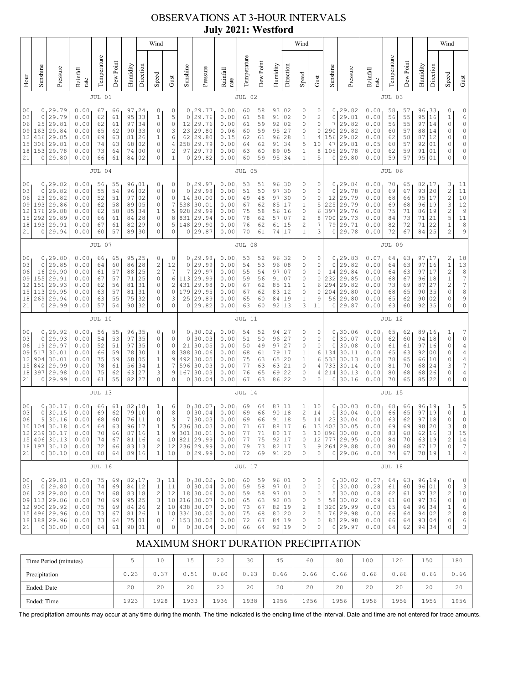## OBSERVATIONS AT 3-HOUR INTERVALS **July 2021: Westford**

|                                                                                                                                                                                                                                                                                                                                                                                                                                                                                                                                                |                                                         |                                                                                                  |                                                                                         |                                                  |                                              |                                              |                                                                                     | Wind                                                                                                             |                                                                                   |                                                                      |                                                                                                  |                                                              |                                              |                                              |                                                     |                                                                                                 | Wind                                                                 |                                            |                                                                          |                                                                                           |                                                              |                                              |                                                  |                                                                     |                                                        | Wind                                                                                                                                                                         |                                                                                                             |
|------------------------------------------------------------------------------------------------------------------------------------------------------------------------------------------------------------------------------------------------------------------------------------------------------------------------------------------------------------------------------------------------------------------------------------------------------------------------------------------------------------------------------------------------|---------------------------------------------------------|--------------------------------------------------------------------------------------------------|-----------------------------------------------------------------------------------------|--------------------------------------------------|----------------------------------------------|----------------------------------------------|-------------------------------------------------------------------------------------|------------------------------------------------------------------------------------------------------------------|-----------------------------------------------------------------------------------|----------------------------------------------------------------------|--------------------------------------------------------------------------------------------------|--------------------------------------------------------------|----------------------------------------------|----------------------------------------------|-----------------------------------------------------|-------------------------------------------------------------------------------------------------|----------------------------------------------------------------------|--------------------------------------------|--------------------------------------------------------------------------|-------------------------------------------------------------------------------------------|--------------------------------------------------------------|----------------------------------------------|--------------------------------------------------|---------------------------------------------------------------------|--------------------------------------------------------|------------------------------------------------------------------------------------------------------------------------------------------------------------------------------|-------------------------------------------------------------------------------------------------------------|
| Hour                                                                                                                                                                                                                                                                                                                                                                                                                                                                                                                                           | Sunshine                                                | Pressure                                                                                         | Rainfall<br>rate                                                                        | Temperature                                      | Dew Point                                    | Humidity                                     | Direction                                                                           | Speed                                                                                                            | Gust                                                                              | Sunshine                                                             | Pressure                                                                                         | Rainfall<br>rate                                             | Temperature                                  | Dew Point                                    | Humidity                                            | Direction                                                                                       | Speed                                                                | Gust                                       | Sunshine                                                                 | Pressure                                                                                  | Rainfall<br>rate                                             | Temperature                                  | Dew Point                                        | Humidity                                                            | Direction                                              | Speed                                                                                                                                                                        | Gust                                                                                                        |
|                                                                                                                                                                                                                                                                                                                                                                                                                                                                                                                                                |                                                         |                                                                                                  |                                                                                         | JUL 01                                           |                                              |                                              |                                                                                     |                                                                                                                  |                                                                                   |                                                                      |                                                                                                  |                                                              | JUL 02                                       |                                              |                                                     |                                                                                                 |                                                                      |                                            |                                                                          |                                                                                           |                                                              | JUL 03                                       |                                                  |                                                                     |                                                        |                                                                                                                                                                              |                                                                                                             |
| 0 <sub>0</sub><br>29.79<br>0.00<br>97<br>24<br>0<br>0<br>67<br>66<br>33<br>03<br>0<br>29.79<br>0.00<br>62<br>61<br>95<br>$\mathbf 1$<br>29.81<br>97<br>34<br>$\mathbb O$<br>06<br>25<br>0.00<br>62<br>61<br>09<br>163<br>29.84<br>0.00<br>65<br>62<br>33<br>0<br>90<br>29.85<br>12<br>436<br>0.00<br>69<br>26<br>$\mathbf{1}$<br>63<br>81<br>15<br>29.81<br>02<br>$\mathbb O$<br>306<br>0.00<br>74<br>63<br>68<br>153<br>29.78<br>73<br>18<br>0.00<br>64<br>74<br>0 <sub>0</sub><br>0<br>29.80<br>66<br>21<br>0<br>0.00<br>61<br>84<br>02<br>0 |                                                         |                                                                                                  |                                                                                         |                                                  |                                              |                                              |                                                                                     | 0<br>5<br>$\circ$<br>3<br>$\epsilon$<br>$\overline{4}$<br>$\overline{c}$<br>$\mathbf{1}$                         | 0<br>0<br>12<br>23<br>62<br>258<br>97<br>0                                        | 29.77<br>29.76<br>29.76<br>29.80<br>29.80<br>29.79<br>29.79<br>29.82 | 0.00<br>0.00<br>0.00<br>0.06<br>0.15<br>0.00<br>0.00<br>0.00                                     | 60<br>61<br>61<br>60<br>62<br>64<br>63<br>60                 | 58<br>58<br>59<br>59<br>61<br>62<br>60<br>59 | 93<br>91<br>92<br>95<br>96<br>91<br>89<br>95 | 02<br>02<br>02<br>27<br>28<br>34<br>05<br>34        | 0<br>0<br>0<br>0<br>$\mathbf 1$<br>5<br>1<br>1                                                  | 0<br>2<br>0<br>$\mathbb O$<br>4<br>10<br>8<br>5                      | 0<br>0<br>7<br>290<br>156<br>47<br>0       | 29.82<br>29.81<br>29.82<br>29.82<br>29.82<br>29.81<br>105 29.78<br>29.80 | 0.00<br>0.00<br>0.00<br>0.00<br>0.00<br>0.05<br>0.00<br>0.00                              | 58<br>56<br>56<br>60<br>62<br>60<br>62<br>59                 | 57<br>55<br>55<br>57<br>58<br>57<br>59<br>57 | 96<br>95<br>97<br>88<br>87<br>92<br>91<br>95     | 133<br>16<br>14<br>14<br>12<br>01<br>01<br>01                       | 0<br>$\mathbf{1}$<br>0<br>0<br>0<br>0<br>0<br>$\Omega$ | 0<br>6<br>$\circ$<br>0<br>0<br>$\circ$<br>0<br>0                                                                                                                             |                                                                                                             |
|                                                                                                                                                                                                                                                                                                                                                                                                                                                                                                                                                |                                                         |                                                                                                  |                                                                                         | JUL 04                                           |                                              |                                              |                                                                                     |                                                                                                                  |                                                                                   |                                                                      |                                                                                                  |                                                              | JUL 05                                       |                                              |                                                     |                                                                                                 |                                                                      |                                            |                                                                          |                                                                                           |                                                              | JUL 06                                       |                                                  |                                                                     |                                                        |                                                                                                                                                                              |                                                                                                             |
| 00<br>03<br>06<br>09<br>12<br>15<br>18<br>21                                                                                                                                                                                                                                                                                                                                                                                                                                                                                                   | 0<br>$\circ$<br>23<br>193<br>176<br>292<br>193<br>0     | 29.82<br>29.82<br>29.82<br>29.86<br>29.88<br>29.89<br>29.91<br>29.94                             | 0.00<br>0.00<br>0.00<br>0.00<br>0.00<br>0.00<br>0.00<br>0.00                            | 56<br>55<br>52<br>62<br>62<br>66<br>67<br>60     | 55<br>54<br>51<br>58<br>58<br>61<br>61<br>57 | 96<br>96<br>97<br>89<br>85<br>84<br>82<br>89 | 01<br>02<br>02<br>05<br>34<br>28<br>29<br>30                                        | 0<br>$\circ$<br>$\mathbb O$<br>0<br>$\mathbf 1$<br>0<br>0<br>$\mathbb O$                                         | 0<br>$\circ$<br>$\mathbb O$<br>$\boldsymbol{\tau}$<br>5<br>8<br>5<br>$\circ$      | 0<br>$\mathbf 0$<br>14<br>538<br>928<br>831<br>148<br>0              | 29.97<br>29.98<br>30.00<br>30.01<br>29.99<br>29.94<br>29.90<br>29.87                             | 0.00<br>0.00<br>0.00<br>0.00<br>0.00<br>0.00<br>0.00<br>0.00 | 53<br>51<br>49<br>67<br>75<br>78<br>76<br>70 | 51<br>50<br>48<br>62<br>58<br>62<br>62<br>61 | 96<br>97<br>97<br>85<br>56<br>57<br>61<br>74        | 30  <br>30<br>30<br>17<br>16<br>07<br>15<br>17                                                  | 0<br>0<br>0<br>1<br>$\mathbb O$<br>2<br>$\mathbf{2}$<br>$\mathbf{1}$ | 0<br>0<br>0<br>5<br>6<br>8<br>7<br>3       | $\circ$<br>12<br>225<br>397<br>79<br>0                                   | 0, 29.84<br>29.78<br>29.79<br>29.79<br>29.76<br>700 29.73<br>29.71<br>29.78               | 0.00<br>0.00<br>0.00<br>0.00<br>0.00<br>0.00<br>0.00<br>0.00 | 70<br>69<br>68<br>69<br>75<br>84<br>82<br>72 | 65<br>67<br>66<br>68<br>71<br>73<br>72<br>67     | 82<br>93 20<br>95<br>96<br>86 19<br>71<br>71<br>84                  | 17 ن<br>17<br>19<br>21<br>22<br>25                     | 3<br>$\frac{2}{2}$<br>3<br>$\frac{2}{5}$<br>$\,1$<br>$\overline{c}$                                                                                                          | 11<br>$1\,1$<br>$1\,0$<br>12<br>$\mathfrak{g}$<br>11<br>8<br>9                                              |
|                                                                                                                                                                                                                                                                                                                                                                                                                                                                                                                                                | JUL 07                                                  |                                                                                                  |                                                                                         |                                                  |                                              |                                              |                                                                                     |                                                                                                                  |                                                                                   |                                                                      |                                                                                                  | JUL 08                                                       |                                              |                                              |                                                     |                                                                                                 |                                                                      |                                            |                                                                          |                                                                                           | JUL 09                                                       |                                              |                                                  |                                                                     |                                                        |                                                                                                                                                                              |                                                                                                             |
| 0 <sup>0</sup><br>03<br>06<br>09<br>12<br>15<br>18<br>21                                                                                                                                                                                                                                                                                                                                                                                                                                                                                       | 0<br>$\mathbf 0$<br>16<br>155<br>151<br>113<br>269<br>0 | 129.80<br>29.85<br>29.90<br>29.91<br>29.93<br>29.95<br>29.94<br>29.99                            | 0.00<br>0.00<br>0.00<br>0.00<br>0.00<br>0.00<br>0.00<br>0.00                            | 66<br>64<br>61<br>67<br>62<br>63<br>63<br>57     | 65<br>60<br>57<br>57<br>56<br>57<br>55<br>54 | 95<br>86<br>88<br>71<br>81<br>81<br>75<br>90 | 25<br>28<br>25<br>25<br>31<br>31<br>32<br>32                                        | 0<br>$\overline{\mathcal{L}}$<br>$\sqrt{2}$<br>$\mathbb O$<br>0<br>0<br>0<br>$\mathbf 0$                         | $\circ$<br>12<br>7<br>$\epsilon$<br>$\sqrt{2}$<br>$\mathbb O$<br>3<br>$\mathbf 0$ | 0<br>$\circ$<br>7<br>113<br>431<br>179<br>25<br>0                    | 29.98<br>29.99<br>29.97<br>29.99<br>29.98<br>29.95<br>29.89<br>29.82                             | 0.00<br>0.00<br>0.00<br>0.00<br>0.00<br>0.00<br>0.00<br>0.00 | 53<br>54<br>55<br>59<br>67<br>67<br>65<br>63 | 52<br>53<br>54<br>56<br>62<br>62<br>60<br>60 | 96<br>96<br>97<br>91<br>85<br>83<br>84<br>92        | 132<br>08<br>07<br>07<br>11<br>12<br>19<br>13                                                   | 0<br>0<br>0<br>0<br>1<br>0<br>1<br>3                                 | 0<br>0<br>0<br>0<br>6<br>0<br>9<br>11      | 0<br>14<br>232<br>294<br>204<br>56<br>0                                  | 0, 29.83<br>29.82<br>29.84<br>29.85<br>29.82<br>29.80<br>29.80<br>29.87                   | 0.07<br>0.00<br>0.00<br>0.00<br>0.00<br>0.00<br>0.00<br>0.00 | 64<br>64<br>64<br>68<br>73<br>68<br>65<br>63 | 63<br>63<br>63<br>67<br>69<br>65<br>62<br>60     | 97,17<br>97<br>97<br>96<br>87<br>90<br>90<br>92                     | 16<br>17<br> 18<br>27<br>35<br>02<br>35                | $\overline{\mathbf{c}}$<br>$\frac{1}{2}$<br>$\mathbf 1$<br>$\overline{c}$<br>0<br>0<br>$\Omega$                                                                              | 18<br>13<br>$\begin{array}{c} 8 \\ 7 \\ 7 \end{array}$<br>8<br>9<br>0                                       |
|                                                                                                                                                                                                                                                                                                                                                                                                                                                                                                                                                |                                                         |                                                                                                  |                                                                                         | <b>JUL 10</b>                                    |                                              |                                              |                                                                                     |                                                                                                                  |                                                                                   |                                                                      |                                                                                                  |                                                              | <b>JUL 11</b>                                |                                              |                                                     |                                                                                                 |                                                                      |                                            |                                                                          |                                                                                           |                                                              | <b>JUL 12</b>                                |                                                  |                                                                     |                                                        |                                                                                                                                                                              |                                                                                                             |
| 00<br>03<br>06<br>09<br>12<br>15<br>18<br>21                                                                                                                                                                                                                                                                                                                                                                                                                                                                                                   | 0<br>$\mathbf 0$<br>19<br>517<br>904<br>842<br>397<br>0 | 129.92<br>29.93<br>29.97<br>30.01<br>30.01<br>29.99<br>29.98<br>29.99                            | 0.00<br>0.00<br>0.00<br>0.00<br>0.00<br>0.00<br>0.00<br>0.00                            | 56<br>54<br>52<br>66<br>75<br>78<br>75<br>61     | 55<br>53<br>51<br>59<br>59<br>61<br>62<br>55 | 96<br>97<br>97<br>78<br>58<br>56<br>63<br>82 | 35<br>35<br>35<br>30<br>05<br>34<br>27<br>27                                        | 0<br>$\circ$<br>$\circ$<br>$\mathbf{1}$<br>$\mathbf 1$<br>$\mathbf 1$<br>3<br>$\circ$                            | 0<br>$\circ$<br>$\mathbb O$<br>8<br>9<br>7<br>9<br>$\circ$                        | 0<br>0<br>21<br>388<br>492<br>596<br>167<br>0                        | 30.02<br>30.03<br>30.05<br>30.06<br>30.05<br>30.03<br>30.03<br>30.04                             | 0.00<br>0.00<br>0.00<br>0.00<br>0.00<br>0.00<br>0.00<br>0.00 | 54<br>51<br>50<br>68<br>75<br>77<br>76<br>67 | 52<br>50<br>49<br>61<br>63<br>63<br>65<br>63 | 94<br>96<br>97<br>79<br>65<br>63<br>69<br>86        | 127<br>27<br>27<br>17<br>20<br>21<br>22<br>22                                                   | 0<br>0<br>0<br>1<br>1<br>0<br>0<br>0                                 | 0<br>0<br>0<br>6<br>6<br>4<br>4<br>0       | $\mathbf{0}$<br>$\circ$<br>$\Omega$<br>134<br>733<br>214<br>0            | 30.06<br>30.07<br>30.08<br>30.11<br>533 30.13<br>30.14<br>30.13<br>30.16                  | 0.00<br>0.00<br>0.00<br>0.00<br>0.00<br>0.00<br>0.00<br>0.00 | 65<br>62<br>61<br>65<br>78<br>81<br>80<br>70 | 62<br>60<br>61<br>63<br>65<br>70<br>68<br>65     | 89,16<br>94<br>97<br>92<br>66 10<br>68<br>68<br>85                  | 18<br>16<br>0 <sub>0</sub><br>24<br>26<br>22           | 1<br>0<br>0<br>0<br>0<br>3<br>0<br>0                                                                                                                                         | 7<br>$\circ$<br>$\overline{4}$<br>$\overline{4}$<br>$\overline{4}$<br>$\overline{7}$<br>$\overline{4}$<br>0 |
|                                                                                                                                                                                                                                                                                                                                                                                                                                                                                                                                                |                                                         |                                                                                                  |                                                                                         | <b>JUL 13</b>                                    |                                              |                                              |                                                                                     |                                                                                                                  |                                                                                   |                                                                      |                                                                                                  |                                                              | JUL 14                                       |                                              |                                                     |                                                                                                 |                                                                      |                                            |                                                                          |                                                                                           |                                                              | <b>JUL 15</b>                                |                                                  |                                                                     |                                                        |                                                                                                                                                                              |                                                                                                             |
| 00<br>03<br>06<br>10<br>12<br>15<br>18<br>21                                                                                                                                                                                                                                                                                                                                                                                                                                                                                                   | 0<br>0<br>9<br>104<br>239<br>406<br>197<br>$\circ$      | 30.17 <br>30.15<br>30.16<br>30.18<br>30.17<br>30.13<br>30.10<br>30.10                            | 0.00<br>0.00<br>0.00<br>0.04<br>0.00<br>0.00<br>0.00<br>0.00                            | 66<br>69<br>68<br>64<br>70<br>74<br>$72\,$<br>68 | 61<br>62<br>60<br>63<br>66<br>67<br>66<br>64 | 82<br>79<br>76<br>96<br>87<br>81<br>83<br>89 | լ18<br>10<br>11<br>17<br>16<br>16<br>13<br>16                                       | $\mathbf{1}$<br>$\mathbb O$<br>$\mathbb O$<br>1<br>$\,1$<br>$\sqrt{4}$<br>$\overline{\mathbf{c}}$<br>$\mathbf 1$ | 6<br>8<br>3<br>5<br>9<br>12<br>10                                                 | 0<br>$\mathbb O$<br>$\boldsymbol{7}$<br>236<br>301<br>10 821<br>0    | 30.07<br>30.04<br>30.03<br>30.03<br>30.01<br>29.99<br>236 29.99<br>29.99                         | 0.00<br>0.00<br>0.00<br>0.00<br>0.00<br>0.00<br>0.00<br>0.00 | 69<br>69<br>69<br>71<br>77<br>77<br>79<br>72 | 64<br>66<br>66<br>67<br>71<br>75<br>73<br>69 | 87<br>90<br>91<br>88<br>80<br>92<br>82<br>91        | $\overline{11}$<br>18<br>18<br>17<br>$\begin{array}{ c c }\n17 \\ 17\n\end{array}$<br> 17<br>20 | 1<br>2<br>5<br>6<br>3<br>0<br>3<br>0                                 | 10<br>14<br>14<br>13<br>10<br>12<br>9<br>0 | 0 <sub>1</sub><br>$\circ$                                                | 30.03<br>30.04<br>23 30.04<br>403 30.05<br>896 30.00<br>777 29.95<br>264 29.88<br>0 29.86 | 0.00<br>0.00<br>0.00<br>0.00<br>0.00<br>0.00<br>0.00<br>0.00 | 68<br>66<br>63<br>69<br>83<br>84<br>80<br>74 | 66<br>65<br>62<br>69<br>68<br>$70\,$<br>68<br>67 | 96, 19<br>97<br>97<br>98 20<br>62 16<br>63 19<br>67 17<br>78   19   | 19<br>18                                               | 1<br>$\mathsf O$<br>0<br>3<br>$\frac{3}{2}$<br>$\mathsf O$<br>$\mathbf 1$                                                                                                    | 5<br>$\,1\,$<br>0<br>8<br>15<br>14<br>$\boldsymbol{7}$<br>4                                                 |
|                                                                                                                                                                                                                                                                                                                                                                                                                                                                                                                                                |                                                         |                                                                                                  |                                                                                         | <b>JUL 16</b>                                    |                                              |                                              |                                                                                     |                                                                                                                  |                                                                                   |                                                                      |                                                                                                  |                                                              | <b>JUL 17</b>                                |                                              |                                                     |                                                                                                 |                                                                      |                                            |                                                                          |                                                                                           |                                                              | <b>JUL 18</b>                                |                                                  |                                                                     |                                                        |                                                                                                                                                                              |                                                                                                             |
| 00<br>03<br>06<br>09<br>12<br>15<br>18<br>21                                                                                                                                                                                                                                                                                                                                                                                                                                                                                                   | $\circ$                                                 | 0, 29.81<br>29.80<br>28 29.80<br>113 29.86<br>$900$   29.92<br>496 29.96<br>188 29.96<br>0 30.00 | 0.00<br>0.00<br>0.00<br>0.00<br>0.00<br>0.00<br>0.00<br>${\bf 0}$ . ${\bf 0}$ ${\bf 0}$ | 75<br>74<br>74<br>70<br>75<br>73<br>73<br>64     | 69<br>69<br>68<br>69<br>69<br>67<br>64<br>61 | 82<br>84<br>83<br>95<br>84<br>81<br>75<br>90 | $\begin{array}{c} 17 \\ 12 \end{array}$<br>$1\,8$<br>$2\,5$<br>26<br>26<br>01<br>01 | 3<br>$\,1\,$<br>$\sqrt{2}$<br>$\ensuremath{\mathsf{3}}$<br>$\overline{c}$<br>$\,1$<br>$\mathsf{O}\xspace$<br>0   | 11<br>11<br>12<br>10<br>4<br>$\mathbb O$                                          | $\circ$<br>0                                                         | 0, 30.02<br>30.04<br>18 30.06<br>10 216 30.07<br>438 30.07<br>10 334 30.05<br>153 30.02<br>30.04 | 0.00<br>0.00<br>0.00<br>0.00<br>0.00<br>0.00<br>0.00<br>0.00 | 60<br>59<br>59<br>65<br>73<br>75<br>72<br>66 | 59<br>58<br>58<br>63<br>67<br>68<br>67<br>64 | $96^{01}$<br>97<br>97<br>92<br>82<br>80<br>84<br>92 | 01<br>01<br>03<br>19<br> 20<br> 19<br>19                                                        | 0<br>0<br>0<br>0<br>$\frac{2}{2}$<br>0<br>0                          | 0<br>0<br>0<br>5<br>8<br>5<br>0<br>0       | $\circ$                                                                  | 0, 30.02<br>30.00<br>5 30.00<br>58 30.02<br>320 29.99<br>76 29.98<br>83 29.98<br>0 29.97  | 0.07<br>0.28<br>0.08<br>0.09<br>0.00<br>0.00<br>0.00<br>0.00 | 64<br>61<br>62<br>61<br>65<br>66<br>66<br>64 | 63<br>60<br>61<br>60<br>64<br>64<br>64<br>62     | 96, 19<br>96 01<br>97 32<br>97 <br>96 34<br>94 02<br>93 04<br>94 34 | 36                                                     | 0<br>0<br>$\sqrt{2}$<br>$\mathbb O$<br>$\,1$<br>$\mathfrak{2}% _{T}=\mathfrak{2}_{T}\!\left( a,b\right) ,\ \mathfrak{2}_{T}=\mathfrak{2}_{T}\!\left( a,b\right) ,$<br>0<br>0 | 0<br>3<br>$1\,0$<br>$\mathbb O$<br>6<br>8<br>6<br>3                                                         |

# MAXIMUM SHORT DURATION PRECIPITATION

| Time Period (minutes) |      | 10   | 15<br>∸ | 20   | 30   | 45   | 60   | 80   | 100  | 120  | 150  | 180  |
|-----------------------|------|------|---------|------|------|------|------|------|------|------|------|------|
| Precipitation         | 0.23 | 0.37 | 0.51    | 0.60 | 0.63 | 0.66 | 0.66 | J.66 | 0.66 | 0.66 | 0.66 | 0.66 |
| Ended: Date           | 20   | 20   | 20      | 20   | 20   | 20   | 20   | 20   | 20   | 20   | 20   | 20   |
| Ended: Time           | 1923 | 1928 | 1933    | 1936 | 1938 | 1956 | 1956 | 1956 | 1956 | 1956 | 1956 | 1956 |

The precipitation amounts may occur at any time during the month. The time indicated is the ending time of the interval. Date and time are not entered for trace amounts.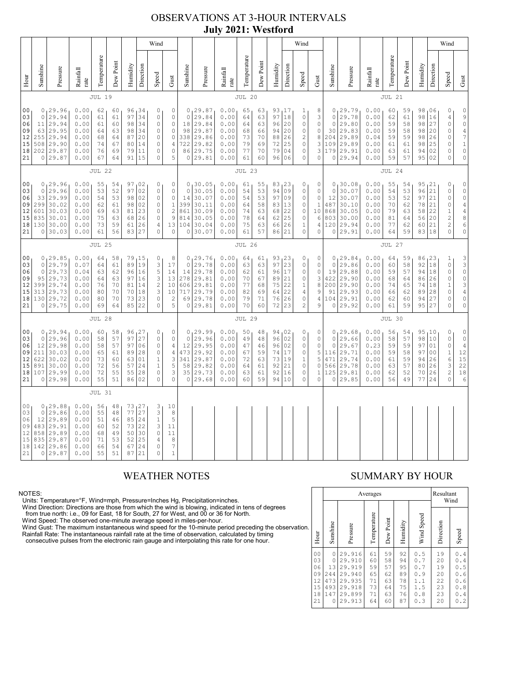## OBSERVATIONS AT 3-HOUR INTERVALS **July 2021: Westford**

|                                              |                                              |                                                                                  |                                                              |                                              |                                              |                                              |                                                  | Wind                                                                                            |                                                                                                   |                                                        |                                                                         |                                                              |                                              |                                              |                                                 |                                               | Wind                                                                                                             |                                                        |                                                          |                                                                         |                                                              |                                              |                                              |                                                     |                                                    | Wind                                                                                                 |                                                                                                           |
|----------------------------------------------|----------------------------------------------|----------------------------------------------------------------------------------|--------------------------------------------------------------|----------------------------------------------|----------------------------------------------|----------------------------------------------|--------------------------------------------------|-------------------------------------------------------------------------------------------------|---------------------------------------------------------------------------------------------------|--------------------------------------------------------|-------------------------------------------------------------------------|--------------------------------------------------------------|----------------------------------------------|----------------------------------------------|-------------------------------------------------|-----------------------------------------------|------------------------------------------------------------------------------------------------------------------|--------------------------------------------------------|----------------------------------------------------------|-------------------------------------------------------------------------|--------------------------------------------------------------|----------------------------------------------|----------------------------------------------|-----------------------------------------------------|----------------------------------------------------|------------------------------------------------------------------------------------------------------|-----------------------------------------------------------------------------------------------------------|
| Hour                                         | Sunshine                                     | Pressure                                                                         | Rainfall<br>rate                                             | Temperature                                  | Dew Point                                    | Humidity                                     | Direction                                        | Speed                                                                                           | Gust                                                                                              | Sunshine                                               | Pressure                                                                | Rainfall<br>rate                                             | Temperature                                  | Dew Point                                    | Humidity                                        | Direction                                     | Speed                                                                                                            | Gust                                                   | Sunshine                                                 | Pressure                                                                | Rainfall<br>rate                                             | Temperature                                  | Dew Point                                    | Humidity                                            | Direction                                          | Speed                                                                                                | Gust                                                                                                      |
|                                              |                                              |                                                                                  |                                                              | <b>JUL 19</b>                                |                                              |                                              |                                                  |                                                                                                 |                                                                                                   |                                                        |                                                                         |                                                              | JUL 20                                       |                                              |                                                 |                                               |                                                                                                                  |                                                        |                                                          |                                                                         |                                                              | JUL 21                                       |                                              |                                                     |                                                    |                                                                                                      |                                                                                                           |
| 00<br>03<br>06<br>09<br>12<br>15<br>18<br>21 | $\circ$<br>11<br>63<br>255<br>508<br>$\circ$ | 0, 29.96<br>29.94<br>29.94<br>29.95<br>29.94<br>29.90<br>202 29.87<br>29.87      | 0.00<br>0.00<br>0.00<br>0.00<br>0.00<br>0.00<br>0.00<br>0.00 | 62<br>61<br>61<br>64<br>68<br>74<br>76<br>67 | 60<br>61<br>60<br>63<br>64<br>67<br>69<br>64 | 97<br>98<br>98<br>87<br>80<br>79<br>91       | 96 34<br>34<br>34<br>34<br>20<br>14<br>11<br>15  | 0<br>$\mathbb O$<br>$\circ$<br>$\circ$<br>$\mathbb O$<br>$\circ$<br>$\circ$<br>$\circ$          | $\mathbb O$<br>$\mathbb O$<br>$\circ$<br>$\mathbb O$<br>$\mathbb O$<br>$\sqrt{4}$<br>$\circ$<br>5 | $\circ$<br>$1\,8$<br>98<br>338<br>722<br>86<br>$\circ$ | 0, 29.87<br>29.84<br>29.84<br>29.87<br>29.86<br>29.82<br>29.75<br>29.81 | 0.00<br>0.00<br>0.00<br>0.00<br>0.00<br>0.00<br>0.00<br>0.00 | 65<br>64<br>64<br>68<br>73<br>79<br>77<br>61 | 63<br>63<br>63<br>66<br>70<br>69<br>70<br>60 | 93,17<br>97<br>96<br>94<br>88<br>72<br>79<br>96 | 18<br>20<br>20<br>26<br>25<br>04<br>06        | $\mathbf{1}$<br>$\mathbb O$<br>$\mathbb O$<br>$\circ$<br>$\sqrt{2}$<br>$\mathbb O$<br>$\mathbb O$<br>$\mathbb O$ | 8<br>3<br>0<br>0<br>8<br>3<br>3<br>$\mathsf{O}\xspace$ | $\circ$<br>$\circ$<br>30<br>204<br>109<br>179<br>$\circ$ | 0, 29.79<br>29.78<br>29.80<br>29.83<br>29.89<br>29.89<br>29.91<br>29.94 | 0.00<br>0.00<br>0.00<br>0.00<br>0.04<br>0.00<br>0.00<br>0.00 | 60<br>62<br>59<br>59<br>59<br>61<br>63<br>59 | 59<br>61<br>58<br>58<br>59<br>61<br>61<br>57 | 98,06<br>98<br>98<br>98<br>98<br>98<br>94<br>95     | 16<br>27<br>20<br>26<br>25<br>02<br>02             | 0<br>$\sqrt{4}$<br>$\mathbb O$<br>0<br>$\mathbb O$<br>0<br>0<br>$\circ$                              | $\begin{array}{c} 0 \\ 9 \\ 0 \end{array}$<br>$\frac{4}{7}$<br>$\mathbf{1}$<br>$\circ$<br>$\mathbb O$     |
|                                              | <b>JUL 22</b>                                |                                                                                  |                                                              |                                              |                                              |                                              |                                                  | <b>JUL 23</b>                                                                                   |                                                                                                   |                                                        |                                                                         |                                                              |                                              |                                              |                                                 |                                               |                                                                                                                  | JUL 24                                                 |                                                          |                                                                         |                                                              |                                              |                                              |                                                     |                                                    |                                                                                                      |                                                                                                           |
| 00<br>03<br>06<br>09<br>12<br>15<br>18<br>21 | $\circ$<br>33<br>299<br>601<br>835<br>0      | 0, 29.96<br>29.96<br>29.99<br>30.02<br>30.03<br>30.01<br>130 30.00<br>30.03      | 0.00<br>0.00<br>0.00<br>0.00<br>0.00<br>0.00<br>0.00<br>0.00 | 55<br>53<br>54<br>62<br>69<br>75<br>73<br>61 | 54<br>52<br>53<br>61<br>63<br>63<br>59<br>56 | 97<br>97<br>98<br>98<br>81<br>68<br>61<br>83 | 02<br>02<br>02<br>02<br>23<br>26<br>26<br>27     | 0<br>$\circ$<br>$\circ$<br>0<br>0<br>$\mathbb O$<br>$\overline{4}$<br>$\mathbf{0}$              | $\mathbb O$<br>$\circ$<br>$\mathbb O$<br>$\,1\,$<br>$\sqrt{2}$<br>$\overline{9}$<br>13<br>0       | $\mathbf 0$<br>14<br>399<br>861<br>814<br>104<br>0     | 0, 30.05<br>30.05<br>30.07<br>30.11<br>30.09<br>30.05<br>30.04<br>30.07 | 0.00<br>0.00<br>0.00<br>0.00<br>0.00<br>0.00<br>0.00<br>0.00 | 61<br>54<br>54<br>64<br>74<br>78<br>75<br>61 | 55<br>53<br>53<br>58<br>63<br>64<br>63<br>57 | 83<br>94<br>97<br>83<br>68<br>62<br>66<br>86    | 123<br>09<br>09<br>13<br>22<br>25<br>26<br>21 | 0<br>0<br>$\mathbb O$<br>0<br>0<br>$\mathbb O$<br>$\mathbf 1$<br>$\mathbf 0$                                     | 0<br>0<br>$\mathbb O$<br>1<br>10<br>6<br>4<br>0        | $\circ$<br>12<br>487<br>868<br>803<br>120<br>0           | 0, 30.08<br>30.07<br>30.07<br>30.10<br>30.05<br>30.00<br>29.94<br>29.91 | 0.00<br>0.00<br>0.00<br>0.00<br>0.00<br>0.00<br>0.00<br>0.00 | 55<br>54<br>53<br>70<br>79<br>81<br>77<br>64 | 54<br>53<br>52<br>62<br>63<br>64<br>62<br>59 | 95, 21<br>96<br>97<br>78<br>58<br>56<br>60<br>83    | 21<br>21<br>21<br>22<br>20<br>21<br>18             | $\mathbb O$<br>$\circ$<br>$\mathsf O$<br>0<br>$\,1\,$<br>$\overline{c}$<br>$\overline{c}$<br>$\circ$ | $\mathbb O$<br>$\circ$<br>$\frac{0}{4}$<br>$\overline{4}$<br>8<br>$\epsilon$<br>$\circ$                   |
|                                              | <b>JUL 25</b>                                |                                                                                  |                                                              |                                              |                                              |                                              |                                                  |                                                                                                 |                                                                                                   |                                                        | <b>JUL 26</b>                                                           |                                                              |                                              |                                              |                                                 |                                               |                                                                                                                  |                                                        |                                                          | <b>JUL 27</b>                                                           |                                                              |                                              |                                              |                                                     |                                                    |                                                                                                      |                                                                                                           |
| 00<br>03<br>06<br>09<br>12<br>15<br>18<br>21 | $\circ$<br>$\circ$<br>95<br>399<br>313       | 0, 29.85<br>29.79<br>29.73<br>29.73<br>29.74<br>29.73<br>130 29.72<br>0 29.75    | 0.00<br>0.07<br>0.04<br>0.00<br>0.00<br>0.00<br>0.00<br>0.00 | 64<br>64<br>63<br>64<br>76<br>80<br>80<br>69 | 58<br>61<br>62<br>63<br>70<br>70<br>70<br>64 | 79<br>89<br>96<br>97<br>81<br>70<br>73<br>85 | 15<br>19<br>16<br>16<br>14<br>18<br>23<br>22     | 0<br>3<br>5<br>3<br>$\sqrt{2}$<br>3<br>$\circ$<br>$\circ$                                       | 8<br>17<br>14<br>13<br>10<br>10<br>$\sqrt{2}$<br>5                                                | $\circ$<br>14<br>278<br>606<br>717<br>69<br>0          | 0, 29.76<br>29.78<br>29.78<br>29.81<br>29.81<br>29.79<br>29.78<br>29.81 | 0.00<br>0.00<br>0.00<br>0.00<br>0.00<br>0.00<br>0.00<br>0.00 | 64<br>63<br>62<br>70<br>77<br>82<br>79<br>70 | 61<br>63<br>61<br>67<br>68<br>69<br>71<br>60 | 93<br>97<br>96<br>89<br>75<br>64<br>76<br>72    | 23<br>23<br>17<br>21<br>22<br>22<br>26<br>23  | 0<br>$\mathbb O$<br>0<br>$\mathbb O$<br>1<br>$\overline{4}$<br>$\mathbb O$<br>$\overline{c}$                     | 0<br>0<br>0<br>3<br>8<br>9<br>4<br>9                   | 0<br>19<br>422<br>200<br>91<br>104<br>0                  | 0, 29.84<br>29.86<br>29.88<br>29.90<br>29.90<br>29.93<br>29.91<br>29.92 | 0.00<br>0.00<br>0.00<br>0.00<br>0.00<br>0.00<br>0.00<br>0.00 | 64<br>60<br>59<br>68<br>74<br>66<br>62<br>61 | 59<br>58<br>57<br>64<br>65<br>62<br>60<br>59 | 86, 23<br>92<br>94<br>86<br>74<br>89<br>94<br>95 27 | 18<br>18<br>26<br>18<br>28<br>27                   | 1<br>0<br>0<br>0<br>$1\,$<br>0<br>0<br>0                                                             | $\begin{array}{c} 3 \\ 3 \\ 0 \end{array}$<br>$\frac{0}{3}$<br>$\sqrt{4}$<br>$\mathbb O$<br>$\circ$       |
|                                              |                                              |                                                                                  |                                                              | <b>JUL 28</b>                                |                                              |                                              |                                                  |                                                                                                 |                                                                                                   |                                                        |                                                                         |                                                              | <b>JUL 29</b>                                |                                              |                                                 |                                               |                                                                                                                  |                                                        |                                                          |                                                                         |                                                              | JUL 30                                       |                                              |                                                     |                                                    |                                                                                                      |                                                                                                           |
| 00<br>03<br>06<br>09<br>12<br>15<br>21       | $\circ$<br>12<br>211<br>622<br>891           | 0, 29.94<br>29.96<br>29.98<br>30.03<br>30.02<br>30.00<br>18 107 29.99<br>0 29.98 | 0.00<br>0.00<br>0.00<br>0.00<br>0.00<br>0.00<br>0.00<br>0.00 | 60<br>58<br>58<br>65<br>73<br>72<br>72<br>55 | 58<br>57<br>57<br>61<br>60<br>56<br>55<br>51 | 97<br>97<br>89<br>63<br>57<br>55<br>86       | 96, 27<br>27<br>06<br>28<br>01<br>24<br>28<br>02 | 0<br>$\circ$<br>$\circ$<br>$\mathbb O$<br>$\mathbf 1$<br>$\mathbf 1$<br>$\mathbb O$<br>$\Omega$ | 0<br>$\mathbb O$<br>$\sqrt{4}$<br>$\sqrt{4}$<br>$\ensuremath{\mathsf{3}}$<br>5<br>3<br>$\circ$    | $\mathbf 0$<br>12<br>473<br>341<br>58<br>35<br>0       | 0, 29.99<br>29.96<br>29.95<br>29.92<br>29.87<br>29.82<br>29.73<br>29.68 | 0.00<br>0.00<br>0.00<br>0.00<br>0.00<br>0.00<br>0.00<br>0.00 | 50<br>49<br>47<br>67<br>72<br>64<br>63<br>60 | 48<br>48<br>46<br>59<br>63<br>61<br>61<br>59 | 94<br>96<br>96<br>74<br>73<br>92<br>92<br>94    | 102<br>02<br>02<br>17<br>19<br>21<br>16<br>10 | 0<br>$\mathbb O$<br>$\mathbb O$<br>$\mathbb O$<br>$\mathbf 1$<br>$\mathbb O$<br>$\mathbb O$<br>$\mathbb O$       | 0<br>0<br>0<br>5<br>5<br>0<br>$\mathbf{1}$<br>0        | $\circ$<br>$\circ$<br>116<br>471<br>566<br>125<br>0      | 0, 29.68<br>29.66<br>29.67<br>29.71<br>29.74<br>29.78<br>29.81<br>29.85 | 0.00<br>0.00<br>0.23<br>0.00<br>0.00<br>0.00<br>0.00<br>0.00 | 56<br>58<br>59<br>59<br>61<br>63<br>62<br>56 | 54<br>57<br>59<br>58<br>59<br>57<br>52<br>49 | 95,10<br>98<br>97<br>97<br>94<br>80<br>70<br>77     | 10<br>01<br>0 <sub>0</sub><br>26<br>26<br>26<br>24 | 0<br>$\mathbb O$<br>$\mathbb O$<br>$\mathbf 1$<br>$\epsilon$<br>3<br>$\sqrt{2}$<br>$\circ$           | $\begin{matrix} 0 \\ 0 \end{matrix}$<br>$\begin{array}{c} 4 \\ 12 \end{array}$<br>15<br>22<br>$18\,$<br>6 |
|                                              |                                              |                                                                                  |                                                              | <b>JUL 31</b>                                |                                              |                                              |                                                  |                                                                                                 |                                                                                                   |                                                        |                                                                         |                                                              |                                              |                                              |                                                 |                                               |                                                                                                                  |                                                        |                                                          |                                                                         |                                                              |                                              |                                              |                                                     |                                                    |                                                                                                      |                                                                                                           |
| 00<br>03<br>06<br>09<br>12<br>15<br>18<br>21 | $\circ$<br>12<br>483<br>858<br>835<br>142    | 0, 29.88<br>29.86<br>29.89<br>29.91<br>29.89<br>29.87<br>29.86<br>0 29.87        | 0.00<br>0.00<br>0.00<br>0.00<br>0.00<br>0.00<br>0.00<br>0.00 | 56<br>55<br>51<br>60<br>68<br>71<br>66<br>55 | 48<br>48<br>46<br>52<br>49<br>53<br>54<br>51 | 77<br>85<br>73<br>50<br>52<br>67<br>87       | 73.27<br>27<br>24<br>22<br>30<br>25<br>24<br>21  | 3<br>3<br>$\,1\,$<br>3<br>$\mathbb O$<br>$\sqrt{4}$<br>$\circ$<br>$\Omega$                      | 10<br>8<br>5<br>11<br>11<br>8<br>7<br>$\mathbf{1}$                                                |                                                        |                                                                         |                                                              |                                              |                                              |                                                 |                                               |                                                                                                                  |                                                        |                                                          |                                                                         |                                                              |                                              |                                              |                                                     |                                                    |                                                                                                      |                                                                                                           |

NOTES:<br>Units: Temperature=°F, Wind=mph, Pressure=Inches Hg, Precipitation=inches.<br>Units: Temperature=°F, Wind=mph, Pressure=Inches Hg, Precipitation=inches.<br>
Yind Direction: Directions are those from which the wind is blow

### WEATHER NOTES SUMMARY BY HOUR

|    |                                                          |                                                      |                                                                              | Averages                                     |                                              |                                              |                                                      | Resultant<br>Wind                            |                                                                            |  |  |  |
|----|----------------------------------------------------------|------------------------------------------------------|------------------------------------------------------------------------------|----------------------------------------------|----------------------------------------------|----------------------------------------------|------------------------------------------------------|----------------------------------------------|----------------------------------------------------------------------------|--|--|--|
| ì. | Hour                                                     | Sunshine                                             | Pressure                                                                     | Temperature                                  | Dew Point                                    | Humidity                                     | Wind Speed                                           | Direction                                    | Speed                                                                      |  |  |  |
|    | 0 <sub>0</sub><br>03<br>06<br>09<br>12<br>15<br>18<br>21 | 0<br>0<br>13<br>244<br>473<br>493<br>147<br>$\Omega$ | 29.916<br>29.910<br>29.919<br>29.940<br>29.935<br>29.918<br>29.899<br>29.913 | 61<br>60<br>59<br>65<br>71<br>73<br>71<br>64 | 59<br>58<br>57<br>62<br>63<br>64<br>63<br>60 | 92<br>94<br>95<br>89<br>78<br>75<br>76<br>87 | 0.5<br>0.7<br>0.7<br>0.9<br>1.1<br>1.5<br>0.8<br>0.3 | 19<br>20<br>19<br>20<br>22<br>23<br>23<br>20 | 0.4<br>0.4<br>0<br>.5<br>0<br>. 6<br>. 6<br>0<br>.8<br>0<br>0<br>.4<br>0.2 |  |  |  |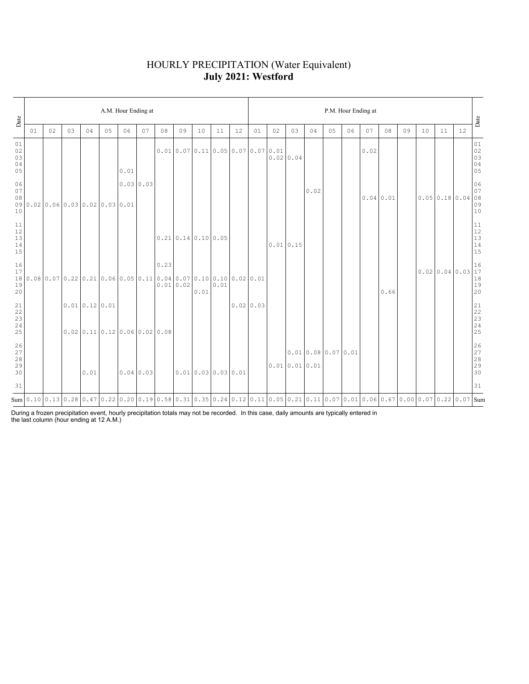## HOURLY PRECIPITATION (Water Equivalent) **July 2021: Westford**

| Date                           | A.M. Hour Ending at |    |     |              |                                 |      |           |      |                                      |      |                                                                            |    |           |    | P.M. Hour Ending at |                                                                                                                                          |    |    |      |           |    |                                                                                                                                                                                                                                                                                         |    |    |                                                           |  |  |  |
|--------------------------------|---------------------|----|-----|--------------|---------------------------------|------|-----------|------|--------------------------------------|------|----------------------------------------------------------------------------|----|-----------|----|---------------------|------------------------------------------------------------------------------------------------------------------------------------------|----|----|------|-----------|----|-----------------------------------------------------------------------------------------------------------------------------------------------------------------------------------------------------------------------------------------------------------------------------------------|----|----|-----------------------------------------------------------|--|--|--|
|                                | 01                  | 02 | 0.3 | 04           | 05                              | 06   | 07        | 08   | 09                                   | 10   | 11                                                                         | 12 | 01        | 02 | 03                  | 04                                                                                                                                       | 05 | 06 | 07   | 08        | 09 | 10                                                                                                                                                                                                                                                                                      | 11 | 12 | Date                                                      |  |  |  |
| 01<br>02<br>03<br>04<br>05     |                     |    |     |              |                                 | 0.01 |           |      |                                      |      | $0.01 \mid 0.07 \mid 0.11 \mid 0.05 \mid 0.07 \mid 0.07 \mid 0.01$         |    |           |    | $0.02 \mid 0.04$    |                                                                                                                                          |    |    | 0.02 |           |    |                                                                                                                                                                                                                                                                                         |    |    | $0\,1$<br>$02$<br>03<br>03<br>04<br>05                    |  |  |  |
| 06<br>07<br>08<br>10           |                     |    |     |              | 090.020.060.030.020.030.01      |      | 0.03 0.03 |      |                                      |      |                                                                            |    |           |    |                     | 0.02                                                                                                                                     |    |    |      | 0.04 0.01 |    | $\begin{bmatrix} 0.05 & 0.18 & 0.04 & 0.08 \\ 0.05 & 0.18 & 0.04 & 0.08 \\ 0.09 & 0.01 & 0.08 \\ 0.0 & 0.01 & 0.08 \\ 0.0 & 0.01 & 0.08 \\ 0.0 & 0.01 & 0.08 \\ 0.0 & 0.01 & 0.08 \\ 0.0 & 0.01 & 0.08 \\ 0.0 & 0.01 & 0.08 \\ 0.0 & 0.01 & 0.08 \\ 0.0 & 0.01 & 0.08 \\ 0.0 & 0.01 & $ |    |    | 06                                                        |  |  |  |
| $11\,$<br>12<br>13<br>14<br>15 |                     |    |     |              |                                 |      |           |      | $0.21 \mid 0.14 \mid 0.10 \mid 0.05$ |      |                                                                            |    |           |    | 0.01 0.15           |                                                                                                                                          |    |    |      |           |    |                                                                                                                                                                                                                                                                                         |    |    | $\begin{array}{c} 11 \\ 12 \\ 13 \\ 14 \\ 15 \end{array}$ |  |  |  |
| 16<br>17<br>18<br>19<br>20     |                     |    |     |              |                                 |      |           | 0.23 | 0.010.02                             | 0.01 | $0.08$ 0.07 0.22 0.21 0.06 0.05 0.11 0.04 0.07 0.10 0.10 0.02 0.01<br>0.01 |    |           |    |                     |                                                                                                                                          |    |    |      | 0.66      |    |                                                                                                                                                                                                                                                                                         |    |    | $18$<br>$19$<br>$20$                                      |  |  |  |
| 21<br>22<br>23<br>24<br>25     |                     |    |     | 0.010.120.01 | $0.02$ 0.11 0.12 0.06 0.02 0.08 |      |           |      |                                      |      |                                                                            |    | 0.0200.03 |    |                     |                                                                                                                                          |    |    |      |           |    |                                                                                                                                                                                                                                                                                         |    |    |                                                           |  |  |  |
| 26<br>27<br>28<br>29<br>30     |                     |    |     | 0.01         |                                 |      | 0.04 0.03 |      |                                      |      | 0.010.030.030.01                                                           |    |           |    | 0.010.010.01        | 0.010.080.070.01                                                                                                                         |    |    |      |           |    |                                                                                                                                                                                                                                                                                         |    |    | 26<br>27<br>28<br>29<br>29<br>30                          |  |  |  |
| 31                             |                     |    |     |              |                                 |      |           |      |                                      |      |                                                                            |    |           |    |                     |                                                                                                                                          |    |    |      |           |    |                                                                                                                                                                                                                                                                                         |    |    | 31                                                        |  |  |  |
|                                |                     |    |     |              |                                 |      |           |      |                                      |      |                                                                            |    |           |    |                     | Sum 0.10 0.13 0.28 0.47 0.22 0.20 0.19 0.58 0.31 0.35 0.24 0.12 0.11 0.05 0.21 0.11 0.07 0.01 0.06 0.67 0.00 0.67 0.00 0.7 0.22 0.07 Sum |    |    |      |           |    |                                                                                                                                                                                                                                                                                         |    |    |                                                           |  |  |  |

During a frozen precipitation event, hourly precipitation totals may not be recorded. In this case, daily amounts are typically entered in the last column (hour ending at 12 A.M.)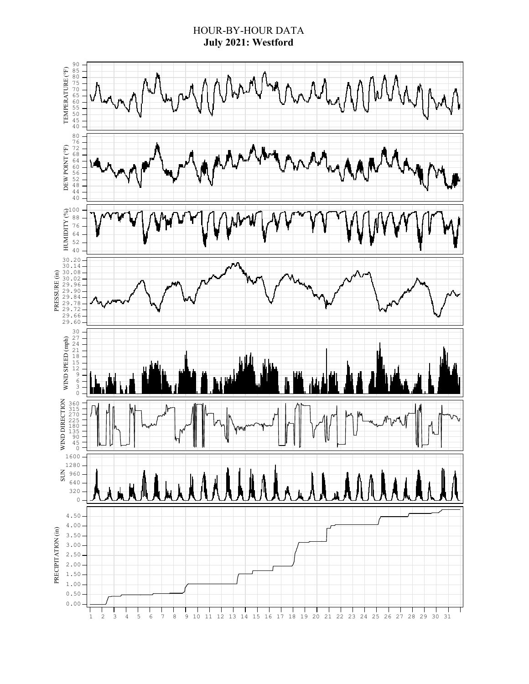## HOUR-BY-HOUR DATA **July 2021: Westford**